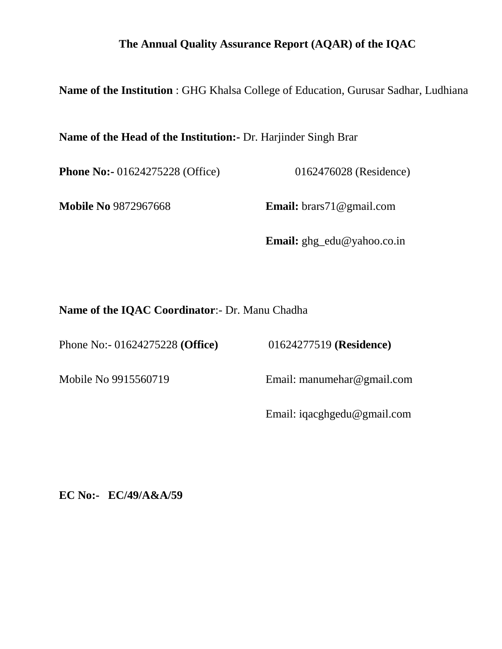### **The Annual Quality Assurance Report (AQAR) of the IQAC**

**Name of the Institution** : GHG Khalsa College of Education, Gurusar Sadhar, Ludhiana

**Name of the Head of the Institution:-** Dr. Harjinder Singh Brar

**Phone No:-** 01624275228 (Office) 0162476028 (Residence)

**Mobile No** 9872967668 **Email:** brars71@gmail.com

**Email:** ghg\_edu@yahoo.co.in

**Name of the IQAC Coordinator**:- Dr. Manu Chadha

Phone No:- 01624275228 **(Office)** 01624277519 **(Residence)** 

Mobile No 9915560719 Email: manumehar@gmail.com

Email: iqacghgedu@gmail.com

**EC No:- EC/49/A&A/59**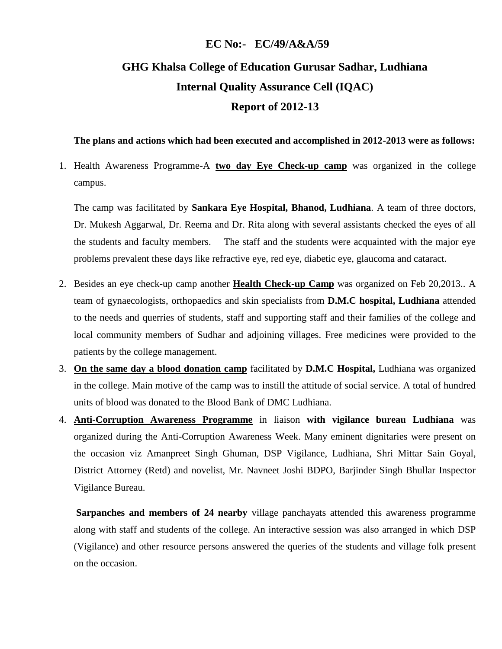#### **EC No:- EC/49/A&A/59**

# **GHG Khalsa College of Education Gurusar Sadhar, Ludhiana Internal Quality Assurance Cell (IQAC) Report of 2012-13**

#### **The plans and actions which had been executed and accomplished in 2012-2013 were as follows:**

1. Health Awareness Programme-A **two day Eye Check-up camp** was organized in the college campus.

The camp was facilitated by **Sankara Eye Hospital, Bhanod, Ludhiana**. A team of three doctors, Dr. Mukesh Aggarwal, Dr. Reema and Dr. Rita along with several assistants checked the eyes of all the students and faculty members. The staff and the students were acquainted with the major eye problems prevalent these days like refractive eye, red eye, diabetic eye, glaucoma and cataract.

- 2. Besides an eye check-up camp another **Health Check-up Camp** was organized on Feb 20,2013.. A team of gynaecologists, orthopaedics and skin specialists from **D.M.C hospital, Ludhiana** attended to the needs and querries of students, staff and supporting staff and their families of the college and local community members of Sudhar and adjoining villages. Free medicines were provided to the patients by the college management.
- 3. **On the same day a blood donation camp** facilitated by **D.M.C Hospital,** Ludhiana was organized in the college. Main motive of the camp was to instill the attitude of social service. A total of hundred units of blood was donated to the Blood Bank of DMC Ludhiana.
- 4. **Anti-Corruption Awareness Programme** in liaison **with vigilance bureau Ludhiana** was organized during the Anti-Corruption Awareness Week. Many eminent dignitaries were present on the occasion viz Amanpreet Singh Ghuman, DSP Vigilance, Ludhiana, Shri Mittar Sain Goyal, District Attorney (Retd) and novelist, Mr. Navneet Joshi BDPO, Barjinder Singh Bhullar Inspector Vigilance Bureau.

**Sarpanches and members of 24 nearby** village panchayats attended this awareness programme along with staff and students of the college. An interactive session was also arranged in which DSP (Vigilance) and other resource persons answered the queries of the students and village folk present on the occasion.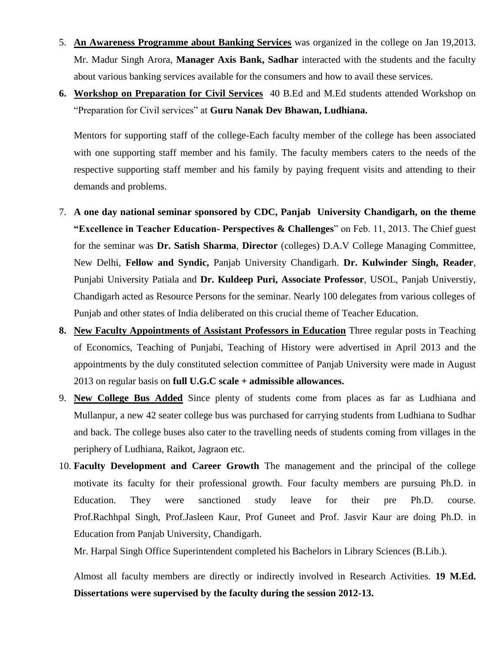- 5. **An Awareness Programme about Banking Services** was organized in the college on Jan 19,2013. Mr. Madur Singh Arora, **Manager Axis Bank, Sadhar** interacted with the students and the faculty about various banking services available for the consumers and how to avail these services.
- **6. Workshop on Preparation for Civil Services** 40 B.Ed and M.Ed students attended Workshop on "Preparation for Civil services" at **Guru Nanak Dev Bhawan, Ludhiana.**

Mentors for supporting staff of the college-Each faculty member of the college has been associated with one supporting staff member and his family. The faculty members caters to the needs of the respective supporting staff member and his family by paying frequent visits and attending to their demands and problems.

- 7. **A one day national seminar sponsored by CDC, Panjab University Chandigarh, on the theme "Excellence in Teacher Education- Perspectives & Challenges**" on Feb. 11, 2013. The Chief guest for the seminar was **Dr. Satish Sharma**, **Director** (colleges) D.A.V College Managing Committee, New Delhi, **Fellow and Syndic,** Panjab University Chandigarh. **Dr. Kulwinder Singh, Reader**, Punjabi University Patiala and **Dr. Kuldeep Puri, Associate Professor**, USOL, Panjab Universtiy, Chandigarh acted as Resource Persons for the seminar. Nearly 100 delegates from various colleges of Punjab and other states of India deliberated on this crucial theme of Teacher Education.
- **8. New Faculty Appointments of Assistant Professors in Education** Three regular posts in Teaching of Economics, Teaching of Punjabi, Teaching of History were advertised in April 2013 and the appointments by the duly constituted selection committee of Panjab University were made in August 2013 on regular basis on **full U.G.C scale + admissible allowances.**
- 9. **New College Bus Added** Since plenty of students come from places as far as Ludhiana and Mullanpur, a new 42 seater college bus was purchased for carrying students from Ludhiana to Sudhar and back. The college buses also cater to the travelling needs of students coming from villages in the periphery of Ludhiana, Raikot, Jagraon etc.
- 10. **Faculty Development and Career Growth** The management and the principal of the college motivate its faculty for their professional growth. Four faculty members are pursuing Ph.D. in Education. They were sanctioned study leave for their pre Ph.D. course. Prof.Rachhpal Singh, Prof.Jasleen Kaur, Prof Guneet and Prof. Jasvir Kaur are doing Ph.D. in Education from Panjab University, Chandigarh.

Mr. Harpal Singh Office Superintendent completed his Bachelors in Library Sciences (B.Lib.).

Almost all faculty members are directly or indirectly involved in Research Activities. **19 M.Ed. Dissertations were supervised by the faculty during the session 2012-13.**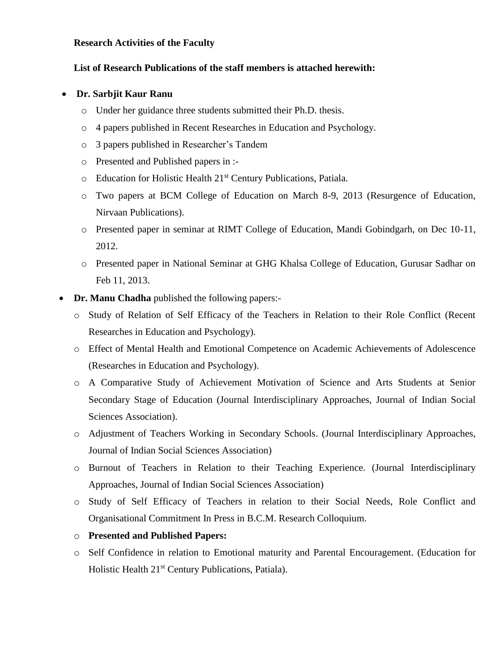#### **Research Activities of the Faculty**

#### **List of Research Publications of the staff members is attached herewith:**

#### **Dr. Sarbjit Kaur Ranu**

- o Under her guidance three students submitted their Ph.D. thesis.
- o 4 papers published in Recent Researches in Education and Psychology.
- o 3 papers published in Researcher's Tandem
- o Presented and Published papers in :-
- o Education for Holistic Health 21st Century Publications, Patiala.
- o Two papers at BCM College of Education on March 8-9, 2013 (Resurgence of Education, Nirvaan Publications).
- o Presented paper in seminar at RIMT College of Education, Mandi Gobindgarh, on Dec 10-11, 2012.
- o Presented paper in National Seminar at GHG Khalsa College of Education, Gurusar Sadhar on Feb 11, 2013.
- **Dr. Manu Chadha** published the following papers:
	- o Study of Relation of Self Efficacy of the Teachers in Relation to their Role Conflict (Recent Researches in Education and Psychology).
	- o Effect of Mental Health and Emotional Competence on Academic Achievements of Adolescence (Researches in Education and Psychology).
	- o A Comparative Study of Achievement Motivation of Science and Arts Students at Senior Secondary Stage of Education (Journal Interdisciplinary Approaches, Journal of Indian Social Sciences Association).
	- o Adjustment of Teachers Working in Secondary Schools. (Journal Interdisciplinary Approaches, Journal of Indian Social Sciences Association)
	- o Burnout of Teachers in Relation to their Teaching Experience. (Journal Interdisciplinary Approaches, Journal of Indian Social Sciences Association)
	- o Study of Self Efficacy of Teachers in relation to their Social Needs, Role Conflict and Organisational Commitment In Press in B.C.M. Research Colloquium.
	- o **Presented and Published Papers:**
	- o Self Confidence in relation to Emotional maturity and Parental Encouragement. (Education for Holistic Health 21<sup>st</sup> Century Publications, Patiala).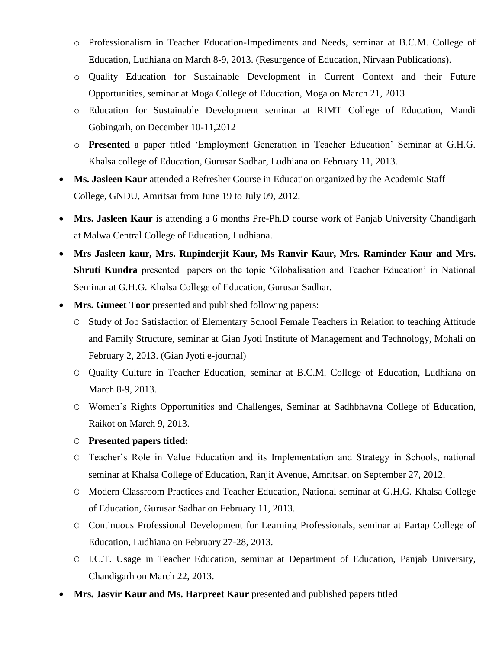- o Professionalism in Teacher Education-Impediments and Needs, seminar at B.C.M. College of Education, Ludhiana on March 8-9, 2013. (Resurgence of Education, Nirvaan Publications).
- o Quality Education for Sustainable Development in Current Context and their Future Opportunities, seminar at Moga College of Education, Moga on March 21, 2013
- o Education for Sustainable Development seminar at RIMT College of Education, Mandi Gobingarh, on December 10-11,2012
- o **Presented** a paper titled 'Employment Generation in Teacher Education' Seminar at G.H.G. Khalsa college of Education, Gurusar Sadhar, Ludhiana on February 11, 2013.
- **Ms. Jasleen Kaur** attended a Refresher Course in Education organized by the Academic Staff College, GNDU, Amritsar from June 19 to July 09, 2012.
- **Mrs. Jasleen Kaur** is attending a 6 months Pre-Ph.D course work of Panjab University Chandigarh at Malwa Central College of Education, Ludhiana.
- **Mrs Jasleen kaur, Mrs. Rupinderjit Kaur, Ms Ranvir Kaur, Mrs. Raminder Kaur and Mrs. Shruti Kundra** presented papers on the topic 'Globalisation and Teacher Education' in National Seminar at G.H.G. Khalsa College of Education, Gurusar Sadhar.
- **Mrs. Guneet Toor** presented and published following papers:
	- O Study of Job Satisfaction of Elementary School Female Teachers in Relation to teaching Attitude and Family Structure, seminar at Gian Jyoti Institute of Management and Technology, Mohali on February 2, 2013. (Gian Jyoti e-journal)
	- O Quality Culture in Teacher Education, seminar at B.C.M. College of Education, Ludhiana on March 8-9, 2013.
	- O Women's Rights Opportunities and Challenges, Seminar at Sadhbhavna College of Education, Raikot on March 9, 2013.
	- O **Presented papers titled:**
	- O Teacher's Role in Value Education and its Implementation and Strategy in Schools, national seminar at Khalsa College of Education, Ranjit Avenue, Amritsar, on September 27, 2012.
	- O Modern Classroom Practices and Teacher Education, National seminar at G.H.G. Khalsa College of Education, Gurusar Sadhar on February 11, 2013.
	- O Continuous Professional Development for Learning Professionals, seminar at Partap College of Education, Ludhiana on February 27-28, 2013.
	- O I.C.T. Usage in Teacher Education, seminar at Department of Education, Panjab University, Chandigarh on March 22, 2013.
- **Mrs. Jasvir Kaur and Ms. Harpreet Kaur** presented and published papers titled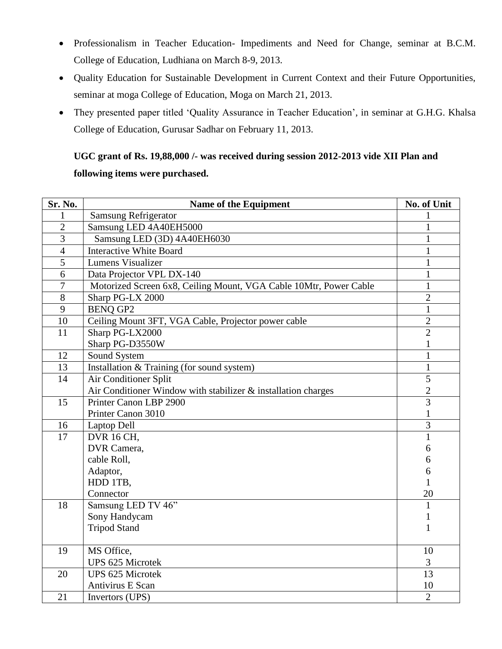- Professionalism in Teacher Education- Impediments and Need for Change, seminar at B.C.M. College of Education, Ludhiana on March 8-9, 2013.
- Quality Education for Sustainable Development in Current Context and their Future Opportunities, seminar at moga College of Education, Moga on March 21, 2013.
- They presented paper titled 'Quality Assurance in Teacher Education', in seminar at G.H.G. Khalsa College of Education, Gurusar Sadhar on February 11, 2013.

## **UGC grant of Rs. 19,88,000 /- was received during session 2012-2013 vide XII Plan and following items were purchased.**

| Sr. No.          | Name of the Equipment                                             | No. of Unit    |
|------------------|-------------------------------------------------------------------|----------------|
| 1                | <b>Samsung Refrigerator</b>                                       |                |
| $\overline{2}$   | Samsung LED 4A40EH5000                                            | $\mathbf{1}$   |
| $\overline{3}$   | Samsung LED (3D) 4A40EH6030                                       | $\mathbf{1}$   |
| $\overline{4}$   | <b>Interactive White Board</b>                                    | $\mathbf{1}$   |
| $\overline{5}$   | <b>Lumens Visualizer</b>                                          | $\mathbf{1}$   |
| 6                | Data Projector VPL DX-140                                         | $\mathbf{1}$   |
| $\boldsymbol{7}$ | Motorized Screen 6x8, Ceiling Mount, VGA Cable 10Mtr, Power Cable | $\mathbf{1}$   |
| $8\,$            | Sharp PG-LX 2000                                                  | $\overline{2}$ |
| 9                | <b>BENQ GP2</b>                                                   | $\mathbf{1}$   |
| 10               | Ceiling Mount 3FT, VGA Cable, Projector power cable               | $\overline{2}$ |
| 11               | Sharp PG-LX2000                                                   | $\overline{2}$ |
|                  | Sharp PG-D3550W                                                   | $\mathbf{1}$   |
| 12               | Sound System                                                      | $\mathbf{1}$   |
| 13               | Installation & Training (for sound system)                        | $\mathbf{1}$   |
| 14               | Air Conditioner Split                                             | $\overline{5}$ |
|                  | Air Conditioner Window with stabilizer & installation charges     | $\overline{c}$ |
| 15               | Printer Canon LBP 2900                                            | 3              |
|                  | Printer Canon 3010                                                | 1              |
| 16               | Laptop Dell                                                       | $\overline{3}$ |
| 17               | <b>DVR</b> 16 CH,                                                 | $\mathbf{1}$   |
|                  | DVR Camera,                                                       | 6              |
|                  | cable Roll,                                                       | 6              |
|                  | Adaptor,                                                          | 6              |
|                  | HDD 1TB,                                                          | $\mathbf{1}$   |
|                  | Connector                                                         | 20             |
| 18               | Samsung LED TV 46"                                                | $\mathbf{1}$   |
|                  | Sony Handycam                                                     | 1              |
|                  | <b>Tripod Stand</b>                                               | 1              |
|                  |                                                                   |                |
| 19               | MS Office,                                                        | 10             |
|                  | <b>UPS 625 Microtek</b>                                           | 3              |
| 20               | <b>UPS 625 Microtek</b>                                           | 13             |
|                  | Antivirus E Scan                                                  | 10             |
| 21               | Invertors (UPS)                                                   | $\overline{2}$ |